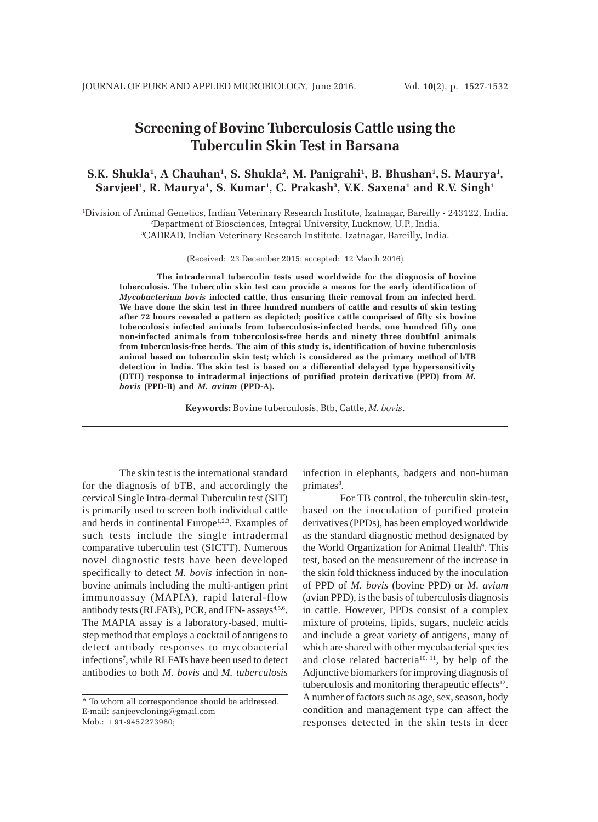# **Screening of Bovine Tuberculosis Cattle using the Tuberculin Skin Test in Barsana**

# **S.K. Shukla1 , A Chauhan1 , S. Shukla2 , M. Panigrahi1 , B. Bhushan1 , S. Maurya1 , Sarvjeet1 , R. Maurya1 , S. Kumar1 , C. Prakash3 , V.K. Saxena1 and R.V. Singh1**

1 Division of Animal Genetics, Indian Veterinary Research Institute, Izatnagar, Bareilly - 243122, India. 2 Department of Biosciences, Integral University, Lucknow, U.P., India.

3 CADRAD, Indian Veterinary Research Institute, Izatnagar, Bareilly, India.

(Received: 23 December 2015; accepted: 12 March 2016)

**The intradermal tuberculin tests used worldwide for the diagnosis of bovine tuberculosis. The tuberculin skin test can provide a means for the early identification of** *Mycobacterium bovis* **infected cattle, thus ensuring their removal from an infected herd. We have done the skin test in three hundred numbers of cattle and results of skin testing after 72 hours revealed a pattern as depicted; positive cattle comprised of fifty six bovine tuberculosis infected animals from tuberculosis-infected herds, one hundred fifty one non-infected animals from tuberculosis-free herds and ninety three doubtful animals from tuberculosis-free herds. The aim of this study is, identification of bovine tuberculosis animal based on tuberculin skin test; which is considered as the primary method of bTB detection in India. The skin test is based on a differential delayed type hypersensitivity (DTH) response to intradermal injections of purified protein derivative (PPD) from** *M. bovis* **(PPD-B) and** *M. avium* **(PPD-A).**

**Keywords:** Bovine tuberculosis, Btb, Cattle, *M. bovis*.

The skin test is the international standard for the diagnosis of bTB, and accordingly the cervical Single Intra-dermal Tuberculin test (SIT) is primarily used to screen both individual cattle and herds in continental Europe<sup>1,2,3</sup>. Examples of such tests include the single intradermal comparative tuberculin test (SICTT). Numerous novel diagnostic tests have been developed specifically to detect *M. bovis* infection in nonbovine animals including the multi-antigen print immunoassay (MAPIA), rapid lateral-flow antibody tests (RLFATs), PCR, and IFN- assays<sup>4,5,6</sup>. The MAPIA assay is a laboratory-based, multistep method that employs a cocktail of antigens to detect antibody responses to mycobacterial infections7 , while RLFATs have been used to detect antibodies to both *M. bovis* and *M. tuberculosis*

infection in elephants, badgers and non-human primates<sup>8</sup>.

For TB control, the tuberculin skin-test, based on the inoculation of purified protein derivatives (PPDs), has been employed worldwide as the standard diagnostic method designated by the World Organization for Animal Health<sup>9</sup>. This test, based on the measurement of the increase in the skin fold thickness induced by the inoculation of PPD of *M. bovis* (bovine PPD) or *M. avium* (avian PPD), is the basis of tuberculosis diagnosis in cattle. However, PPDs consist of a complex mixture of proteins, lipids, sugars, nucleic acids and include a great variety of antigens, many of which are shared with other mycobacterial species and close related bacteria<sup>10, 11</sup>, by help of the Adjunctive biomarkers for improving diagnosis of tuberculosis and monitoring therapeutic effects $12$ . A number of factors such as age, sex, season, body condition and management type can affect the responses detected in the skin tests in deer

<sup>\*</sup> To whom all correspondence should be addressed. E-mail: sanjeevcloning@gmail.com Mob.: +91-9457273980;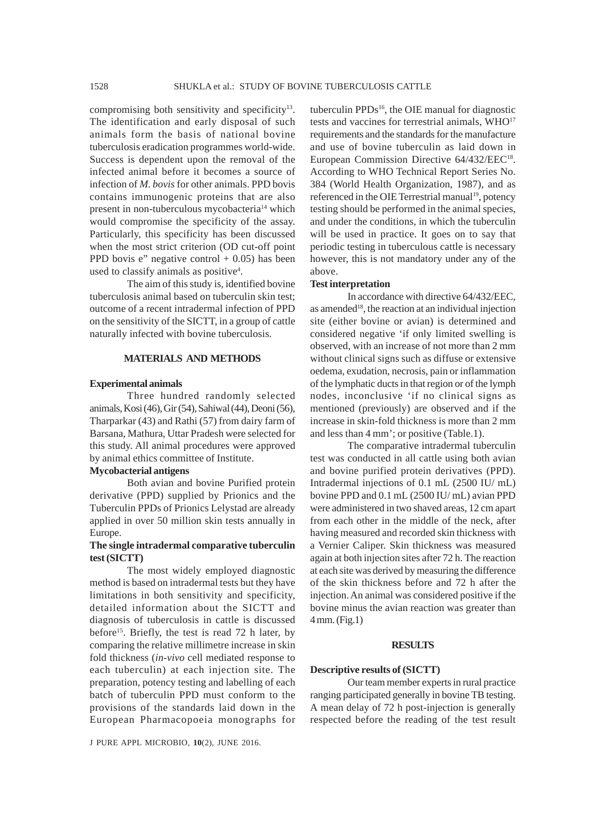compromising both sensitivity and specificity<sup>13</sup>. The identification and early disposal of such animals form the basis of national bovine tuberculosis eradication programmes world-wide. Success is dependent upon the removal of the infected animal before it becomes a source of infection of *M. bovis* for other animals. PPD bovis contains immunogenic proteins that are also present in non-tuberculous mycobacteria<sup>14</sup> which would compromise the specificity of the assay. Particularly, this specificity has been discussed when the most strict criterion (OD cut-off point PPD bovis  $e^{\prime\prime}$  negative control  $+$  0.05) has been used to classify animals as positive<sup>4</sup>.

The aim of this study is, identified bovine tuberculosis animal based on tuberculin skin test; outcome of a recent intradermal infection of PPD on the sensitivity of the SICTT, in a group of cattle naturally infected with bovine tuberculosis*.*

## **MATERIALS AND METHODS**

#### **Experimental animals**

Three hundred randomly selected animals, Kosi (46), Gir (54), Sahiwal (44), Deoni (56), Tharparkar (43) and Rathi (57) from dairy farm of Barsana, Mathura, Uttar Pradesh were selected for this study. All animal procedures were approved by animal ethics committee of Institute.

### **Mycobacterial antigens**

Both avian and bovine Purified protein derivative (PPD) supplied by Prionics and the Tuberculin PPDs of Prionics Lelystad are already applied in over 50 million skin tests annually in Europe.

# **The single intradermal comparative tuberculin test (SICTT)**

The most widely employed diagnostic method is based on intradermal tests but they have limitations in both sensitivity and specificity, detailed information about the SICTT and diagnosis of tuberculosis in cattle is discussed before<sup>15</sup>. Briefly, the test is read 72 h later, by comparing the relative millimetre increase in skin fold thickness (*in-vivo* cell mediated response to each tuberculin) at each injection site. The preparation, potency testing and labelling of each batch of tuberculin PPD must conform to the provisions of the standards laid down in the European Pharmacopoeia monographs for

J PURE APPL MICROBIO*,* **10**(2), JUNE 2016.

tuberculin  $PPDs<sup>16</sup>$ , the OIE manual for diagnostic tests and vaccines for terrestrial animals, WHO<sup>17</sup> requirements and the standards for the manufacture and use of bovine tuberculin as laid down in European Commission Directive 64/432/EEC<sup>18</sup>. According to WHO Technical Report Series No. 384 (World Health Organization, 1987), and as referenced in the OIE Terrestrial manual<sup>19</sup>, potency testing should be performed in the animal species, and under the conditions, in which the tuberculin will be used in practice. It goes on to say that periodic testing in tuberculous cattle is necessary however, this is not mandatory under any of the above.

#### **Test interpretation**

In accordance with directive 64/432/EEC, as amended<sup>18</sup>, the reaction at an individual injection site (either bovine or avian) is determined and considered negative 'if only limited swelling is observed, with an increase of not more than 2 mm without clinical signs such as diffuse or extensive oedema, exudation, necrosis, pain or inflammation of the lymphatic ducts in that region or of the lymph nodes, inconclusive 'if no clinical signs as mentioned (previously) are observed and if the increase in skin-fold thickness is more than 2 mm and less than 4 mm'; or positive (Table.1).

The comparative intradermal tuberculin test was conducted in all cattle using both avian and bovine purified protein derivatives (PPD). Intradermal injections of 0.1 mL (2500 IU/ mL) bovine PPD and 0.1 mL (2500 IU/ mL) avian PPD were administered in two shaved areas, 12 cm apart from each other in the middle of the neck, after having measured and recorded skin thickness with a Vernier Caliper. Skin thickness was measured again at both injection sites after 72 h. The reaction at each site was derived by measuring the difference of the skin thickness before and 72 h after the injection. An animal was considered positive if the bovine minus the avian reaction was greater than 4 mm. (Fig.1)

#### **RESULTS**

#### **Descriptive results of (SICTT)**

Our team member experts in rural practice ranging participated generally in bovine TB testing. A mean delay of 72 h post-injection is generally respected before the reading of the test result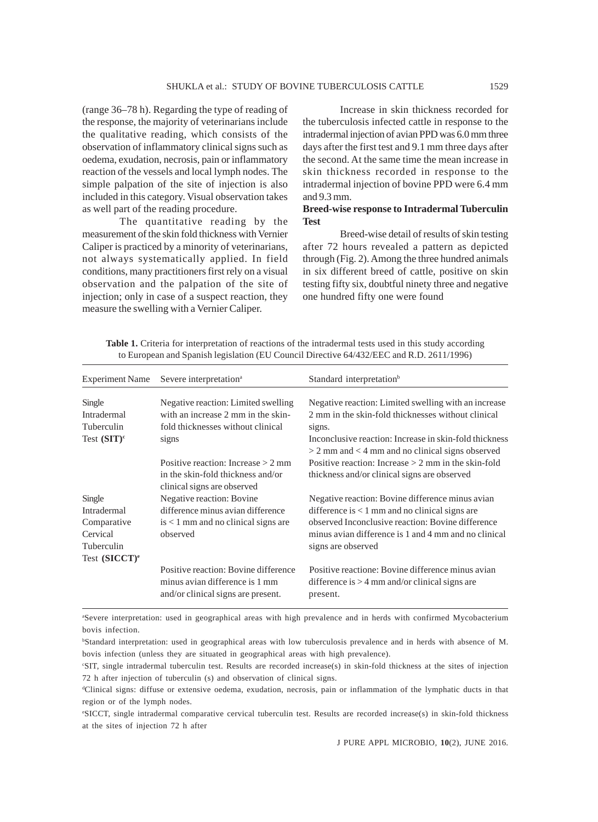(range 36–78 h). Regarding the type of reading of the response, the majority of veterinarians include the qualitative reading, which consists of the observation of inflammatory clinical signs such as oedema, exudation, necrosis, pain or inflammatory reaction of the vessels and local lymph nodes. The simple palpation of the site of injection is also included in this category. Visual observation takes as well part of the reading procedure.

The quantitative reading by the measurement of the skin fold thickness with Vernier Caliper is practiced by a minority of veterinarians, not always systematically applied. In field conditions, many practitioners first rely on a visual observation and the palpation of the site of injection; only in case of a suspect reaction, they measure the swelling with a Vernier Caliper.

Increase in skin thickness recorded for the tuberculosis infected cattle in response to the intradermal injection of avian PPD was 6.0 mm three days after the first test and 9.1 mm three days after the second. At the same time the mean increase in skin thickness recorded in response to the intradermal injection of bovine PPD were 6.4 mm and 9.3 mm.

## **Breed-wise response to Intradermal Tuberculin Test**

Breed-wise detail of results of skin testing after 72 hours revealed a pattern as depicted through (Fig. 2). Among the three hundred animals in six different breed of cattle, positive on skin testing fifty six, doubtful ninety three and negative one hundred fifty one were found

| <b>Experiment Name</b> | Severe interpretation <sup>a</sup>                                                                           | Standard interpretation <sup>b</sup>                                                                              |
|------------------------|--------------------------------------------------------------------------------------------------------------|-------------------------------------------------------------------------------------------------------------------|
| Single                 | Negative reaction: Limited swelling                                                                          | Negative reaction: Limited swelling with an increase                                                              |
| Intradermal            | with an increase 2 mm in the skin-                                                                           | 2 mm in the skin-fold thicknesses without clinical                                                                |
| Tuberculin             | fold thicknesses without clinical                                                                            | signs.                                                                                                            |
| Test $(SIT)^c$         | signs                                                                                                        | Inconclusive reaction: Increase in skin-fold thickness<br>$> 2$ mm and $< 4$ mm and no clinical signs observed    |
|                        | Positive reaction: Increase $> 2$ mm<br>in the skin-fold thickness and/or<br>clinical signs are observed     | Positive reaction: Increase $> 2$ mm in the skin-fold<br>thickness and/or clinical signs are observed             |
| Single                 | Negative reaction: Bovine                                                                                    | Negative reaction: Bovine difference minus avian                                                                  |
| <b>Intradermal</b>     | difference minus avian difference                                                                            | difference is $< 1$ mm and no clinical signs are                                                                  |
| Comparative            | $is < 1$ mm and no clinical signs are                                                                        | observed Inconclusive reaction: Bovine difference                                                                 |
| Cervical               | observed                                                                                                     | minus avian difference is 1 and 4 mm and no clinical                                                              |
| Tuberculin             |                                                                                                              | signs are observed                                                                                                |
| Test $(SICCT)^e$       |                                                                                                              |                                                                                                                   |
|                        | Positive reaction: Bovine difference<br>minus avian difference is 1 mm<br>and/or clinical signs are present. | Positive reactione: Bovine difference minus avian<br>difference is $> 4$ mm and/or clinical signs are<br>present. |

Table 1. Criteria for interpretation of reactions of the intradermal tests used in this study according to European and Spanish legislation (EU Council Directive 64/432/EEC and R.D. 2611/1996)

a Severe interpretation: used in geographical areas with high prevalence and in herds with confirmed Mycobacterium bovis infection.

c SIT, single intradermal tuberculin test. Results are recorded increase(s) in skin-fold thickness at the sites of injection 72 h after injection of tuberculin (s) and observation of clinical signs.

e SICCT, single intradermal comparative cervical tuberculin test. Results are recorded increase(s) in skin-fold thickness at the sites of injection 72 h after

b Standard interpretation: used in geographical areas with low tuberculosis prevalence and in herds with absence of M. bovis infection (unless they are situated in geographical areas with high prevalence).

d Clinical signs: diffuse or extensive oedema, exudation, necrosis, pain or inflammation of the lymphatic ducts in that region or of the lymph nodes.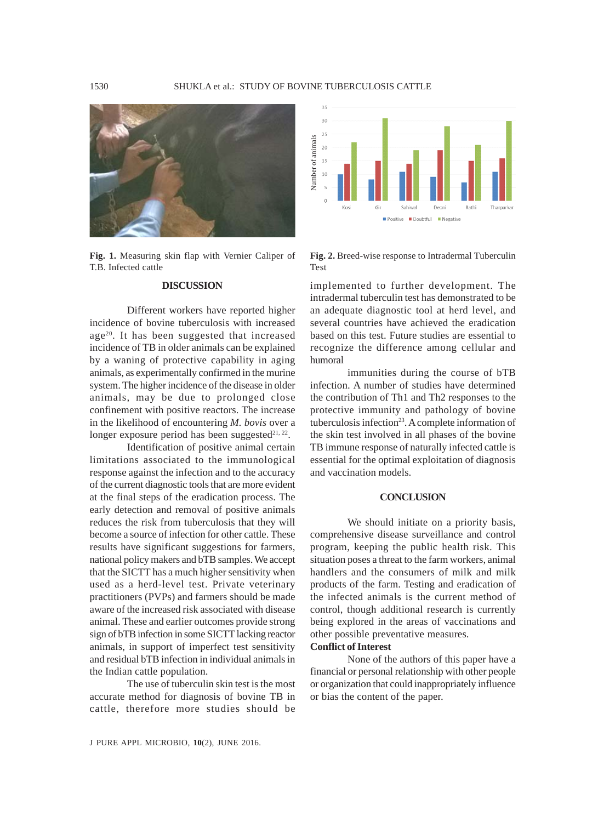

**Fig. 1.** Measuring skin flap with Vernier Caliper of T.B. Infected cattle

# **DISCUSSION**

Different workers have reported higher incidence of bovine tuberculosis with increased age20. It has been suggested that increased incidence of TB in older animals can be explained by a waning of protective capability in aging animals, as experimentally confirmed in the murine system. The higher incidence of the disease in older animals, may be due to prolonged close confinement with positive reactors. The increase in the likelihood of encountering *M. bovis* over a longer exposure period has been suggested $21, 22$ .

Identification of positive animal certain limitations associated to the immunological response against the infection and to the accuracy of the current diagnostic tools that are more evident at the final steps of the eradication process. The early detection and removal of positive animals reduces the risk from tuberculosis that they will become a source of infection for other cattle. These results have significant suggestions for farmers, national policy makers and bTB samples. We accept that the SICTT has a much higher sensitivity when used as a herd-level test. Private veterinary practitioners (PVPs) and farmers should be made aware of the increased risk associated with disease animal. These and earlier outcomes provide strong sign of bTB infection in some SICTT lacking reactor animals, in support of imperfect test sensitivity and residual bTB infection in individual animals in the Indian cattle population.

The use of tuberculin skin test is the most accurate method for diagnosis of bovine TB in cattle, therefore more studies should be



**Fig. 2.** Breed-wise response to Intradermal Tuberculin Test

implemented to further development. The intradermal tuberculin test has demonstrated to be an adequate diagnostic tool at herd level, and several countries have achieved the eradication based on this test. Future studies are essential to recognize the difference among cellular and humoral

immunities during the course of bTB infection. A number of studies have determined the contribution of Th1 and Th2 responses to the protective immunity and pathology of bovine tuberculosis infection<sup>23</sup>. A complete information of the skin test involved in all phases of the bovine TB immune response of naturally infected cattle is essential for the optimal exploitation of diagnosis and vaccination models.

# **CONCLUSION**

We should initiate on a priority basis, comprehensive disease surveillance and control program, keeping the public health risk. This situation poses a threat to the farm workers, animal handlers and the consumers of milk and milk products of the farm. Testing and eradication of the infected animals is the current method of control, though additional research is currently being explored in the areas of vaccinations and other possible preventative measures.

# **Conflict of Interest**

None of the authors of this paper have a financial or personal relationship with other people or organization that could inappropriately influence or bias the content of the paper.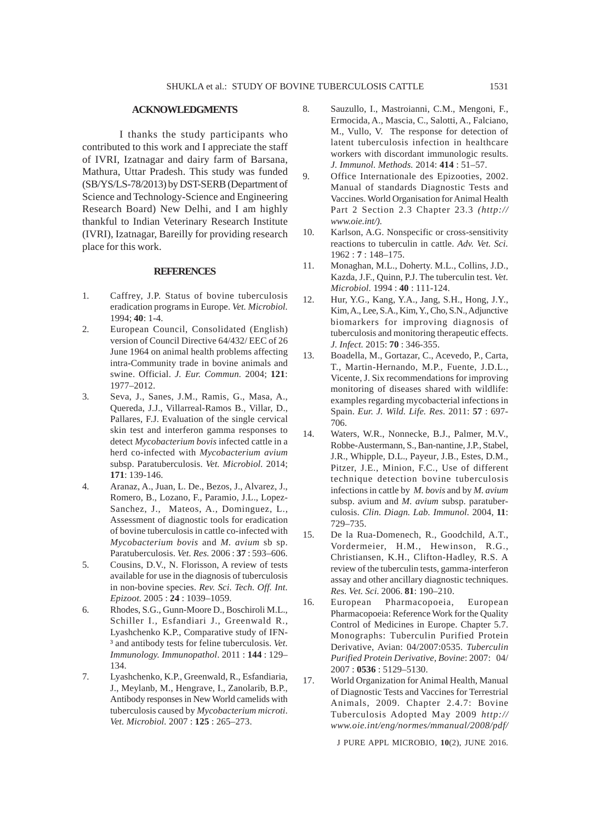#### **ACKNOWLEDGMENTS**

I thanks the study participants who contributed to this work and I appreciate the staff of IVRI, Izatnagar and dairy farm of Barsana, Mathura, Uttar Pradesh. This study was funded (SB/YS/LS-78/2013) by DST-SERB (Department of Science and Technology-Science and Engineering Research Board) New Delhi, and I am highly thankful to Indian Veterinary Research Institute (IVRI), Izatnagar, Bareilly for providing research place for this work.

#### **REFERENCES**

- 1. Caffrey, J.P. Status of bovine tuberculosis eradication programs in Europe. *Vet. Microbiol.* 1994; **40**: 1-4.
- 2. European Council, Consolidated (English) version of Council Directive 64/432/ EEC of 26 June 1964 on animal health problems affecting intra-Community trade in bovine animals and swine. Official. *J. Eur. Commun.* 2004; **121**: 1977–2012.
- 3. Seva, J., Sanes, J.M., Ramis, G., Masa, A., Quereda, J.J., Villarreal-Ramos B., Villar, D., Pallares, F.J. Evaluation of the single cervical skin test and interferon gamma responses to detect *Mycobacterium bovis* infected cattle in a herd co-infected with *Mycobacterium avium* subsp. Paratuberculosis. *Vet. Microbiol.* 2014; **171**: 139-146.
- 4. Aranaz, A., Juan, L. De., Bezos, J., Alvarez, J., Romero, B., Lozano, F., Paramio, J.L., Lopez-Sanchez, J., Mateos, A., Dominguez, L., Assessment of diagnostic tools for eradication of bovine tuberculosis in cattle co-infected with *Mycobacterium bovis* and *M. avium* sb sp. Paratuberculosis. *Vet. Res.* 2006 : **37** : 593–606.
- 5. Cousins, D.V., N. Florisson, A review of tests available for use in the diagnosis of tuberculosis in non-bovine species. *Rev. Sci. Tech. Off. Int. Epizoot.* 2005 : **24** : 1039–1059.
- 6. Rhodes, S.G., Gunn-Moore D., Boschiroli M.L., Schiller I., Esfandiari J., Greenwald R., Lyashchenko K.P., Comparative study of IFN- ³ and antibody tests for feline tuberculosis. *Vet. Immunology. Immunopathol*. 2011 : **144** : 129– 134.
- 7. Lyashchenko, K.P., Greenwald, R., Esfandiaria, J., Meylanb, M., Hengrave, I., Zanolarib, B.P., Antibody responses in New World camelids with tuberculosis caused by *Mycobacterium microti*. *Vet. Microbiol.* 2007 : **125** : 265–273.
- 8. Sauzullo, I., Mastroianni, C.M., Mengoni, F., Ermocida, A., Mascia, C., Salotti, A., Falciano, M., Vullo, V. The response for detection of latent tuberculosis infection in healthcare workers with discordant immunologic results. *J. Immunol. Methods.* 2014: **414** : 51–57.
- 9. Office Internationale des Epizooties, 2002. Manual of standards Diagnostic Tests and Vaccines. World Organisation for Animal Health Part 2 Section 2.3 Chapter 23.3 *(http:// www.oie.int/).*
- 10. Karlson, A.G. Nonspecific or cross-sensitivity reactions to tuberculin in cattle. *Adv. Vet. Sci.* 1962 : **7** : 148–175.
- 11. Monaghan, M.L., Doherty. M.L., Collins, J.D., Kazda, J.F., Quinn, P.J. The tuberculin test. *Vet. Microbiol.* 1994 : **40** : 111-124.
- 12. Hur, Y.G., Kang, Y.A., Jang, S.H., Hong, J.Y., Kim, A., Lee, S.A., Kim, Y., Cho, S.N., Adjunctive biomarkers for improving diagnosis of tuberculosis and monitoring therapeutic effects. *J. Infect.* 2015: **70** : 346-355.
- 13. Boadella, M., Gortazar, C., Acevedo, P., Carta, T., Martin-Hernando, M.P., Fuente, J.D.L., Vicente, J. Six recommendations for improving monitoring of diseases shared with wildlife: examples regarding mycobacterial infections in Spain. *Eur. J. Wild. Life. Res.* 2011: **57** : 697- 706.
- 14. Waters, W.R., Nonnecke, B.J., Palmer, M.V., Robbe-Austermann, S., Ban-nantine, J.P., Stabel, J.R., Whipple, D.L., Payeur, J.B., Estes, D.M., Pitzer, J.E., Minion, F.C., Use of different technique detection bovine tuberculosis infections in cattle by *M. bovis* and by *M. avium* subsp. avium and *M. avium* subsp. paratuberculosis. *Clin. Diagn. Lab. Immunol.* 2004, **11**: 729–735.
- 15. De la Rua-Domenech, R., Goodchild, A.T., Vordermeier, H.M., Hewinson, R.G., Christiansen, K.H., Clifton-Hadley, R.S. A review of the tuberculin tests, gamma-interferon assay and other ancillary diagnostic techniques. *Res. Vet. Sci*. 2006. **81**: 190–210.
- 16. European Pharmacopoeia, European Pharmacopoeia: Reference Work for the Quality Control of Medicines in Europe. Chapter 5.7. Monographs: Tuberculin Purified Protein Derivative, Avian: 04/2007:0535. *Tuberculin Purified Protein Derivative, Bovine*: 2007: 04/ 2007 : **0536** : 5129–5130.
- 17. World Organization for Animal Health, Manual of Diagnostic Tests and Vaccines for Terrestrial Animals, 2009. Chapter 2.4.7: Bovine Tuberculosis Adopted May 2009 *http:// www.oie.int/eng/normes/mmanual/2008/pdf/*

J PURE APPL MICROBIO*,* **10**(2), JUNE 2016.